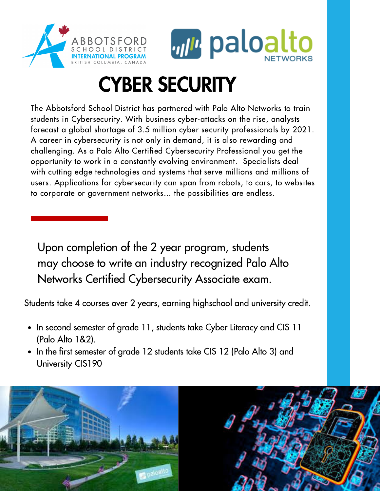



# CYBER SECURITY

The Abbotsford School District has partnered with Palo Alto Networks to train students in Cybersecurity. With business cyber-attacks on the rise, analysts forecast a global shortage of 3.5 million cyber security professionals by 2021. A career in cybersecurity is not only in demand, it is also rewarding and challenging. As a Palo Alto Certified Cybersecurity Professional you get the opportunity to work in a constantly evolving environment. Specialists deal with cutting edge technologies and systems that serve millions and millions of users. Applications for cybersecurity can span from robots, to cars, to websites to corporate or government networks... the possibilities are endless.

Upon completion of the 2 year program, students may choose to write an industry recognized Palo Alto Networks Certified Cybersecurity Associate exam.

Students take 4 courses over 2 years, earning highschool and university credit.

- In second semester of grade 11, students take Cyber Literacy and CIS 11 (Palo Alto 1&2).
- In the first semester of grade 12 students take CIS 12 (Palo Alto 3) and University CIS190